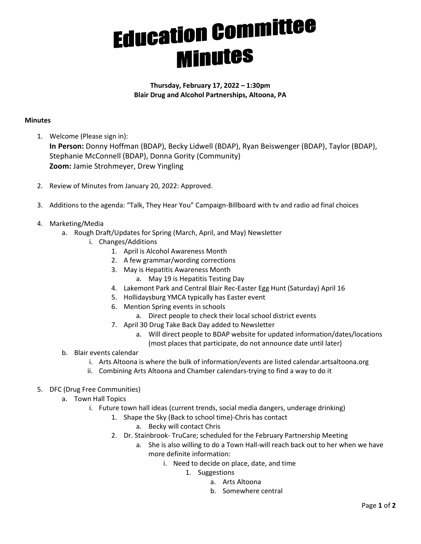## **Education Committee**<br>Minutes

## Thursday, February 17, 2022 – 1:30pm Blair Drug and Alcohol Partnerships, Altoona, PA

## **Minutes**

1. Welcome (Please sign in):

In Person: Donny Hoffman (BDAP), Becky Lidwell (BDAP), Ryan Beiswenger (BDAP), Taylor (BDAP), Stephanie McConnell (BDAP), Donna Gority (Community) Zoom: Jamie Strohmeyer, Drew Yingling

- 2. Review of Minutes from January 20, 2022: Approved.
- 3. Additions to the agenda: "Talk, They Hear You" Campaign-Billboard with tv and radio ad final choices
- 4. Marketing/Media
	- a. Rough Draft/Updates for Spring (March, April, and May) Newsletter
		- i. Changes/Additions
			- 1. April is Alcohol Awareness Month
			- 2. A few grammar/wording corrections
			- 3. May is Hepatitis Awareness Month
				- a. May 19 is Hepatitis Testing Day
			- 4. Lakemont Park and Central Blair Rec-Easter Egg Hunt (Saturday) April 16
			- 5. Hollidaysburg YMCA typically has Easter event
			- 6. Mention Spring events in schools
				- a. Direct people to check their local school district events
			- 7. April 30 Drug Take Back Day added to Newsletter
				- a. Will direct people to BDAP website for updated information/dates/locations (most places that participate, do not announce date until later)
	- b. Blair events calendar
		- i. Arts Altoona is where the bulk of information/events are listed calendar.artsaltoona.org
		- ii. Combining Arts Altoona and Chamber calendars-trying to find a way to do it
- 5. DFC (Drug Free Communities)
	- a. Town Hall Topics
		- i. Future town hall ideas (current trends, social media dangers, underage drinking)
			- 1. Shape the Sky (Back to school time)-Chris has contact
				- a. Becky will contact Chris
			- 2. Dr. Stainbrook- TruCare; scheduled for the February Partnership Meeting
				- a. She is also willing to do a Town Hall-will reach back out to her when we have more definite information:
					- i. Need to decide on place, date, and time
						- 1. Suggestions
							- a. Arts Altoona
							- b. Somewhere central